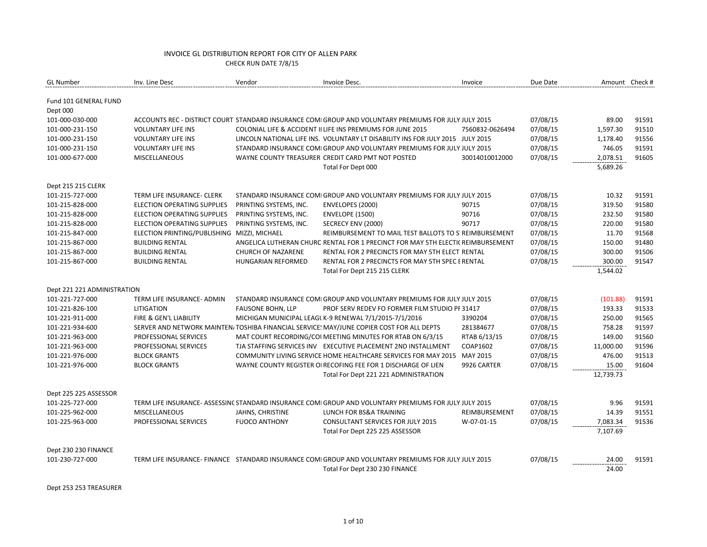| <b>GL Number</b>            | Inv. Line Desc                              | Vendor                    | Invoice Desc.                                                                                          | Invoice         | Due Date | Amount Check # |       |
|-----------------------------|---------------------------------------------|---------------------------|--------------------------------------------------------------------------------------------------------|-----------------|----------|----------------|-------|
| Fund 101 GENERAL FUND       |                                             |                           |                                                                                                        |                 |          |                |       |
| Dept 000                    |                                             |                           |                                                                                                        |                 |          |                |       |
| 101-000-030-000             |                                             |                           | ACCOUNTS REC - DISTRICT COURT STANDARD INSURANCE COMI GROUP AND VOLUNTARY PREMIUMS FOR JULY JULY 2015  |                 | 07/08/15 | 89.00          | 91591 |
| 101-000-231-150             | <b>VOLUNTARY LIFE INS</b>                   |                           | COLONIAL LIFE & ACCIDENT II LIFE INS PREMIUMS FOR JUNE 2015                                            | 7560832-0626494 | 07/08/15 | 1,597.30       | 91510 |
| 101-000-231-150             | <b>VOLUNTARY LIFE INS</b>                   |                           | LINCOLN NATIONAL LIFE INS. VOLUNTARY LT DISABILITY INS FOR JULY 2015 JULY 2015                         |                 | 07/08/15 | 1,178.40       | 91556 |
| 101-000-231-150             | <b>VOLUNTARY LIFE INS</b>                   |                           | STANDARD INSURANCE COMI GROUP AND VOLUNTARY PREMIUMS FOR JULY JULY 2015                                |                 | 07/08/15 | 746.05         | 91591 |
| 101-000-677-000             | <b>MISCELLANEOUS</b>                        |                           | WAYNE COUNTY TREASURER CREDIT CARD PMT NOT POSTED                                                      | 30014010012000  | 07/08/15 | 2,078.51       | 91605 |
|                             |                                             |                           | Total For Dept 000                                                                                     |                 |          | 5,689.26       |       |
| Dept 215 215 CLERK          |                                             |                           |                                                                                                        |                 |          |                |       |
| 101-215-727-000             | TERM LIFE INSURANCE- CLERK                  |                           | STANDARD INSURANCE COMI GROUP AND VOLUNTARY PREMIUMS FOR JULY JULY 2015                                |                 | 07/08/15 | 10.32          | 91591 |
| 101-215-828-000             | <b>ELECTION OPERATING SUPPLIES</b>          | PRINTING SYSTEMS, INC.    | ENVELOPES (2000)                                                                                       | 90715           | 07/08/15 | 319.50         | 91580 |
| 101-215-828-000             | ELECTION OPERATING SUPPLIES                 | PRINTING SYSTEMS, INC.    | <b>ENVELOPE (1500)</b>                                                                                 | 90716           | 07/08/15 | 232.50         | 91580 |
| 101-215-828-000             | ELECTION OPERATING SUPPLIES                 | PRINTING SYSTEMS, INC.    | SECRECY ENV (2000)                                                                                     | 90717           | 07/08/15 | 220.00         | 91580 |
| 101-215-847-000             | ELECTION PRINTING/PUBLISHING MIZZI, MICHAEL |                           | REIMBURSEMENT TO MAIL TEST BALLOTS TO S REIMBURSEMENT                                                  |                 | 07/08/15 | 11.70          | 91568 |
| 101-215-867-000             | <b>BUILDING RENTAL</b>                      |                           | ANGELICA LUTHERAN CHURC RENTAL FOR 1 PRECINCT FOR MAY 5TH ELECTIC REIMBURSEMENT                        |                 | 07/08/15 | 150.00         | 91480 |
| 101-215-867-000             | <b>BUILDING RENTAL</b>                      | <b>CHURCH OF NAZARENE</b> | RENTAL FOR 2 PRECINCTS FOR MAY 5TH ELECT RENTAL                                                        |                 | 07/08/15 | 300.00         | 91506 |
| 101-215-867-000             | <b>BUILDING RENTAL</b>                      | HUNGARIAN REFORMED        | RENTAL FOR 2 PRECINCTS FOR MAY 5TH SPEC E RENTAL                                                       |                 | 07/08/15 | 300.00         | 91547 |
|                             |                                             |                           | Total For Dept 215 215 CLERK                                                                           |                 |          | 1,544.02       |       |
| Dept 221 221 ADMINISTRATION |                                             |                           |                                                                                                        |                 |          |                |       |
| 101-221-727-000             | TERM LIFE INSURANCE- ADMIN                  |                           | STANDARD INSURANCE COMI GROUP AND VOLUNTARY PREMIUMS FOR JULY JULY 2015                                |                 | 07/08/15 | (101.88)       | 91591 |
| 101-221-826-100             | LITIGATION                                  | <b>FAUSONE BOHN, LLP</b>  | PROF SERV REDEV FO FORMER FILM STUDIO PF 31417                                                         |                 | 07/08/15 | 193.33         | 91533 |
| 101-221-911-000             | FIRE & GEN'L LIABILITY                      |                           | MICHIGAN MUNICIPAL LEAGL K-9 RENEWAL 7/1/2015-7/1/2016                                                 | 3390204         | 07/08/15 | 250.00         | 91565 |
| 101-221-934-600             |                                             |                           | SERVER AND NETWORK MAINTEN/ TOSHIBA FINANCIAL SERVICE! MAY/JUNE COPIER COST FOR ALL DEPTS              | 281384677       | 07/08/15 | 758.28         | 91597 |
| 101-221-963-000             | PROFESSIONAL SERVICES                       |                           | MAT COURT RECORDING/COI MEETING MINUTES FOR RTAB ON 6/3/15                                             | RTAB 6/13/15    | 07/08/15 | 149.00         | 91560 |
| 101-221-963-000             | PROFESSIONAL SERVICES                       |                           | TJA STAFFING SERVICES INV EXECUTIVE PLACEMENT 2ND INSTALLMENT                                          | COAP1602        | 07/08/15 | 11,000.00      | 91596 |
| 101-221-976-000             | <b>BLOCK GRANTS</b>                         |                           | COMMUNITY LIVING SERVICE HOME HEALTHCARE SERVICES FOR MAY 2015 MAY 2015                                |                 | 07/08/15 | 476.00         | 91513 |
| 101-221-976-000             | <b>BLOCK GRANTS</b>                         |                           | WAYNE COUNTY REGISTER OF RECOFING FEE FOR 1 DISCHARGE OF LIEN                                          | 9926 CARTER     | 07/08/15 | 15.00          | 91604 |
|                             |                                             |                           | Total For Dept 221 221 ADMINISTRATION                                                                  |                 |          | 12,739.73      |       |
| Dept 225 225 ASSESSOR       |                                             |                           |                                                                                                        |                 |          |                |       |
| 101-225-727-000             |                                             |                           | TERM LIFE INSURANCE- ASSESSINC STANDARD INSURANCE COMI GROUP AND VOLUNTARY PREMIUMS FOR JULY JULY 2015 |                 | 07/08/15 | 9.96           | 91591 |
| 101-225-962-000             | <b>MISCELLANEOUS</b>                        | JAHNS, CHRISTINE          | LUNCH FOR BS&A TRAINING                                                                                | REIMBURSEMENT   | 07/08/15 | 14.39          | 91551 |
| 101-225-963-000             | PROFESSIONAL SERVICES                       | <b>FUOCO ANTHONY</b>      | <b>CONSULTANT SERVICES FOR JULY 2015</b>                                                               | W-07-01-15      | 07/08/15 | 7,083.34       | 91536 |
|                             |                                             |                           | Total For Dept 225 225 ASSESSOR                                                                        |                 |          | 7,107.69       |       |
| Dept 230 230 FINANCE        |                                             |                           |                                                                                                        |                 |          |                |       |
| 101-230-727-000             |                                             |                           | TERM LIFE INSURANCE- FINANCE STANDARD INSURANCE COMI GROUP AND VOLUNTARY PREMIUMS FOR JULY JULY 2015   |                 | 07/08/15 | 24.00          | 91591 |
|                             |                                             |                           | Total For Dept 230 230 FINANCE                                                                         |                 |          | 24.00          |       |

Dept 253 253 TREASURER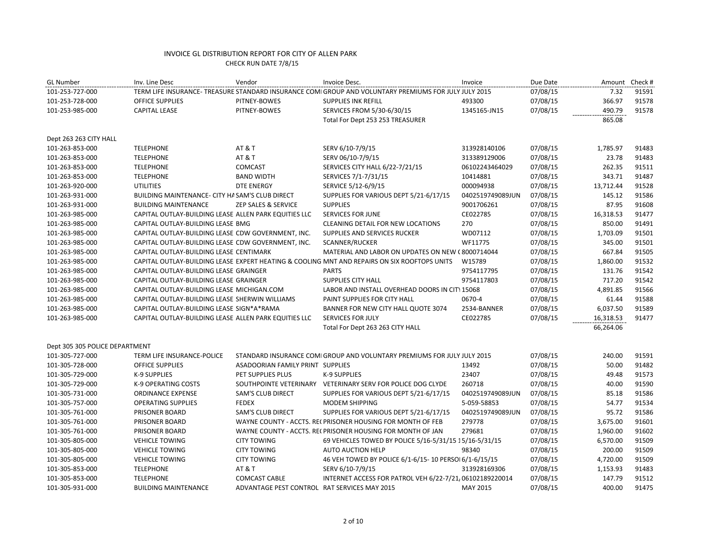| <b>GL Number</b>               | Inv. Line Desc                                        | Vendor                                       | Invoice Desc.                                                                                        | Invoice          | Due Date | Amount Check # |       |
|--------------------------------|-------------------------------------------------------|----------------------------------------------|------------------------------------------------------------------------------------------------------|------------------|----------|----------------|-------|
| 101-253-727-000                |                                                       |                                              | TERM LIFE INSURANCE-TREASURE STANDARD INSURANCE COMI GROUP AND VOLUNTARY PREMIUMS FOR JULY JULY 2015 |                  | 07/08/15 | 7.32           | 91591 |
| 101-253-728-000                | <b>OFFICE SUPPLIES</b>                                | PITNEY-BOWES                                 | <b>SUPPLIES INK REFILL</b>                                                                           | 493300           | 07/08/15 | 366.97         | 91578 |
| 101-253-985-000                | <b>CAPITAL LEASE</b>                                  | PITNEY-BOWES                                 | SERVICES FROM 5/30-6/30/15                                                                           | 1345165-JN15     | 07/08/15 | 490.79         | 91578 |
|                                |                                                       |                                              | Total For Dept 253 253 TREASURER                                                                     |                  |          | 865.08         |       |
| Dept 263 263 CITY HALL         |                                                       |                                              |                                                                                                      |                  |          |                |       |
| 101-263-853-000                | <b>TELEPHONE</b>                                      | AT&T                                         | SERV 6/10-7/9/15                                                                                     | 313928140106     | 07/08/15 | 1,785.97       | 91483 |
| 101-263-853-000                | <b>TELEPHONE</b>                                      | <b>AT &amp; T</b>                            | SERV 06/10-7/9/15                                                                                    | 313389129006     | 07/08/15 | 23.78          | 91483 |
| 101-263-853-000                | <b>TELEPHONE</b>                                      | <b>COMCAST</b>                               | SERVICES CITY HALL 6/22-7/21/15                                                                      | 06102243464029   | 07/08/15 | 262.35         | 91511 |
| 101-263-853-000                | <b>TELEPHONE</b>                                      | <b>BAND WIDTH</b>                            | SERVICES 7/1-7/31/15                                                                                 | 10414881         | 07/08/15 | 343.71         | 91487 |
| 101-263-920-000                | <b>UTILITIES</b>                                      | <b>DTE ENERGY</b>                            | SERVICE 5/12-6/9/15                                                                                  | 000094938        | 07/08/15 | 13,712.44      | 91528 |
| 101-263-931-000                | BUILDING MAINTENANCE- CITY HA SAM'S CLUB DIRECT       |                                              | SUPPLIES FOR VARIOUS DEPT 5/21-6/17/15                                                               | 0402519749089JUN | 07/08/15 | 145.12         | 91586 |
| 101-263-931-000                | <b>BUILDING MAINTENANCE</b>                           | ZEP SALES & SERVICE                          | <b>SUPPLIES</b>                                                                                      | 9001706261       | 07/08/15 | 87.95          | 91608 |
| 101-263-985-000                | CAPITAL OUTLAY-BUILDING LEASE ALLEN PARK EQUITIES LLC |                                              | <b>SERVICES FOR JUNE</b>                                                                             | CE022785         | 07/08/15 | 16,318.53      | 91477 |
| 101-263-985-000                | CAPITAL OUTLAY-BUILDING LEASE BMG                     |                                              | CLEANING DETAIL FOR NEW LOCATIONS                                                                    | 270              | 07/08/15 | 850.00         | 91491 |
| 101-263-985-000                | CAPITAL OUTLAY-BUILDING LEASE CDW GOVERNMENT, INC.    |                                              | SUPPLIES AND SERVICES RUCKER                                                                         | WD07112          | 07/08/15 | 1,703.09       | 91501 |
| 101-263-985-000                | CAPITAL OUTLAY-BUILDING LEASE CDW GOVERNMENT, INC.    |                                              | <b>SCANNER/RUCKER</b>                                                                                | WF11775          | 07/08/15 | 345.00         | 91501 |
| 101-263-985-000                | CAPITAL OUTLAY-BUILDING LEASE CENTIMARK               |                                              | MATERIAL AND LABOR ON UPDATES ON NEW (8000714044                                                     |                  | 07/08/15 | 667.84         | 91505 |
| 101-263-985-000                |                                                       |                                              | CAPITAL OUTLAY-BUILDING LEASE EXPERT HEATING & COOLING MNT AND REPAIRS ON SIX ROOFTOPS UNITS         | W15789           | 07/08/15 | 1,860.00       | 91532 |
| 101-263-985-000                | CAPITAL OUTLAY-BUILDING LEASE GRAINGER                |                                              | <b>PARTS</b>                                                                                         | 9754117795       | 07/08/15 | 131.76         | 91542 |
| 101-263-985-000                | CAPITAL OUTLAY-BUILDING LEASE GRAINGER                |                                              | <b>SUPPLIES CITY HALL</b>                                                                            | 9754117803       | 07/08/15 | 717.20         | 91542 |
| 101-263-985-000                | CAPITAL OUTLAY-BUILDING LEASE MICHIGAN.COM            |                                              | LABOR AND INSTALL OVERHEAD DOORS IN CITY 15068                                                       |                  | 07/08/15 | 4,891.85       | 91566 |
| 101-263-985-000                | CAPITAL OUTLAY-BUILDING LEASE SHERWIN WILLIAMS        |                                              | PAINT SUPPLIES FOR CITY HALL                                                                         | 0670-4           | 07/08/15 | 61.44          | 91588 |
| 101-263-985-000                | CAPITAL OUTLAY-BUILDING LEASE SIGN*A*RAMA             |                                              | BANNER FOR NEW CITY HALL QUOTE 3074                                                                  | 2534-BANNER      | 07/08/15 | 6,037.50       | 91589 |
| 101-263-985-000                | CAPITAL OUTLAY-BUILDING LEASE ALLEN PARK EQUITIES LLC |                                              | <b>SERVICES FOR JULY</b>                                                                             | CE022785         | 07/08/15 | 16,318.53      | 91477 |
|                                |                                                       |                                              | Total For Dept 263 263 CITY HALL                                                                     |                  |          | 66,264.06      |       |
| Dept 305 305 POLICE DEPARTMENT |                                                       |                                              |                                                                                                      |                  |          |                |       |
| 101-305-727-000                | TERM LIFE INSURANCE-POLICE                            |                                              | STANDARD INSURANCE COMI GROUP AND VOLUNTARY PREMIUMS FOR JULY JULY 2015                              |                  | 07/08/15 | 240.00         | 91591 |
| 101-305-728-000                | OFFICE SUPPLIES                                       | ASADOORIAN FAMILY PRINT SUPPLIES             |                                                                                                      | 13492            | 07/08/15 | 50.00          | 91482 |
| 101-305-729-000                | <b>K-9 SUPPLIES</b>                                   | PET SUPPLIES PLUS                            | <b>K-9 SUPPLIES</b>                                                                                  | 23407            | 07/08/15 | 49.48          | 91573 |
| 101-305-729-000                | <b>K-9 OPERATING COSTS</b>                            |                                              | SOUTHPOINTE VETERINARY VETERINARY SERV FOR POLICE DOG CLYDE                                          | 260718           | 07/08/15 | 40.00          | 91590 |
| 101-305-731-000                | <b>ORDINANCE EXPENSE</b>                              | <b>SAM'S CLUB DIRECT</b>                     | SUPPLIES FOR VARIOUS DEPT 5/21-6/17/15                                                               | 0402519749089JUN | 07/08/15 | 85.18          | 91586 |
| 101-305-757-000                | <b>OPERATING SUPPLIES</b>                             | <b>FEDEX</b>                                 | <b>MODEM SHIPPING</b>                                                                                | 5-059-58853      | 07/08/15 | 54.77          | 91534 |
| 101-305-761-000                | PRISONER BOARD                                        | <b>SAM'S CLUB DIRECT</b>                     | SUPPLIES FOR VARIOUS DEPT 5/21-6/17/15                                                               | 0402519749089JUN | 07/08/15 | 95.72          | 91586 |
| 101-305-761-000                | PRISONER BOARD                                        |                                              | WAYNE COUNTY - ACCTS. RECPRISONER HOUSING FOR MONTH OF FEB                                           | 279778           | 07/08/15 | 3,675.00       | 91601 |
| 101-305-761-000                | PRISONER BOARD                                        |                                              | WAYNE COUNTY - ACCTS. RECPRISONER HOUSING FOR MONTH OF JAN                                           | 279681           | 07/08/15 | 1,960.00       | 91602 |
| 101-305-805-000                | <b>VEHICLE TOWING</b>                                 | <b>CITY TOWING</b>                           | 69 VEHICLES TOWED BY POLICE 5/16-5/31/15 15/16-5/31/15                                               |                  | 07/08/15 | 6,570.00       | 91509 |
| 101-305-805-000                | <b>VEHICLE TOWING</b>                                 | <b>CITY TOWING</b>                           | <b>AUTO AUCTION HELP</b>                                                                             | 98340            | 07/08/15 | 200.00         | 91509 |
| 101-305-805-000                | <b>VEHICLE TOWING</b>                                 | <b>CITY TOWING</b>                           | 46 VEH TOWED BY POLICE 6/1-6/15-10 PERSOI 6/1-6/15/15                                                |                  | 07/08/15 | 4,720.00       | 91509 |
| 101-305-853-000                | <b>TELEPHONE</b>                                      | <b>AT &amp; T</b>                            | SERV 6/10-7/9/15                                                                                     | 313928169306     | 07/08/15 | 1,153.93       | 91483 |
| 101-305-853-000                | <b>TELEPHONE</b>                                      | <b>COMCAST CABLE</b>                         | INTERNET ACCESS FOR PATROL VEH 6/22-7/21, 06102189220014                                             |                  | 07/08/15 | 147.79         | 91512 |
| 101-305-931-000                | <b>BUILDING MAINTENANCE</b>                           | ADVANTAGE PEST CONTROL RAT SERVICES MAY 2015 |                                                                                                      | MAY 2015         | 07/08/15 | 400.00         | 91475 |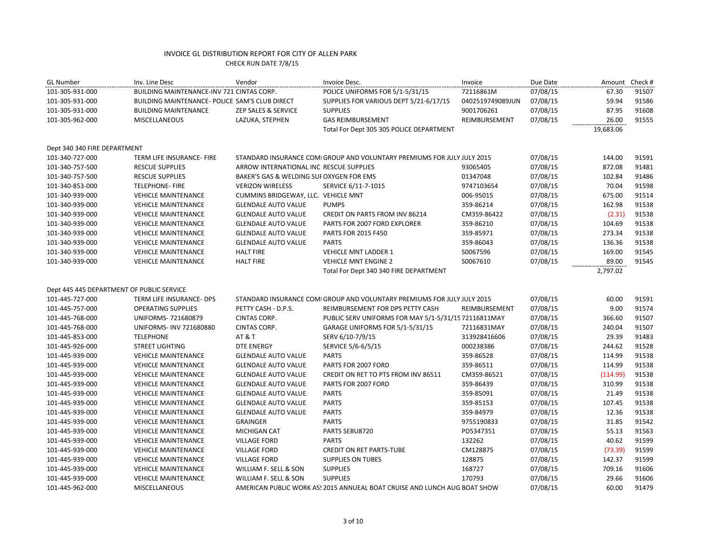| <b>GL Number</b>                          | Inv. Line Desc                                 | Vendor                                   | Invoice Desc.                                                             | Invoice          | Due Date | Amount Check # |       |
|-------------------------------------------|------------------------------------------------|------------------------------------------|---------------------------------------------------------------------------|------------------|----------|----------------|-------|
| 101-305-931-000                           | BUILDING MAINTENANCE-INV 721 CINTAS CORP.      |                                          | POLICE UNIFORMS FOR 5/1-5/31/15                                           | 72116861M        | 07/08/15 | 67.30          | 91507 |
| 101-305-931-000                           | BUILDING MAINTENANCE- POLICE SAM'S CLUB DIRECT |                                          | SUPPLIES FOR VARIOUS DEPT 5/21-6/17/15                                    | 0402519749089JUN | 07/08/15 | 59.94          | 91586 |
| 101-305-931-000                           | <b>BUILDING MAINTENANCE</b>                    | ZEP SALES & SERVICE                      | <b>SUPPLIES</b>                                                           | 9001706261       | 07/08/15 | 87.95          | 91608 |
| 101-305-962-000                           | <b>MISCELLANEOUS</b>                           | LAZUKA, STEPHEN                          | <b>GAS REIMBURSEMENT</b>                                                  | REIMBURSEMENT    | 07/08/15 | 26.00          | 91555 |
|                                           |                                                |                                          | Total For Dept 305 305 POLICE DEPARTMENT                                  |                  |          | 19,683.06      |       |
| Dept 340 340 FIRE DEPARTMENT              |                                                |                                          |                                                                           |                  |          |                |       |
| 101-340-727-000                           | TERM LIFE INSURANCE- FIRE                      |                                          | STANDARD INSURANCE COMI GROUP AND VOLUNTARY PREMIUMS FOR JULY JULY 2015   |                  | 07/08/15 | 144.00         | 91591 |
| 101-340-757-500                           | <b>RESCUE SUPPLIES</b>                         | ARROW INTERNATIONAL INC RESCUE SUPPLIES  |                                                                           | 93065405         | 07/08/15 | 872.08         | 91481 |
| 101-340-757-500                           | <b>RESCUE SUPPLIES</b>                         | BAKER'S GAS & WELDING SUI OXYGEN FOR EMS |                                                                           | 01347048         | 07/08/15 | 102.84         | 91486 |
| 101-340-853-000                           | <b>TELEPHONE-FIRE</b>                          | <b>VERIZON WIRELESS</b>                  | SERVICE 6/11-7-1015                                                       | 9747103654       | 07/08/15 | 70.04          | 91598 |
| 101-340-939-000                           | <b>VEHICLE MAINTENANCE</b>                     | CUMMINS BRIDGEWAY, LLC. VEHICLE MNT      |                                                                           | 006-95015        | 07/08/15 | 675.00         | 91514 |
| 101-340-939-000                           | <b>VEHICLE MAINTENANCE</b>                     | <b>GLENDALE AUTO VALUE</b>               | <b>PUMPS</b>                                                              | 359-86214        | 07/08/15 | 162.98         | 91538 |
| 101-340-939-000                           | <b>VEHICLE MAINTENANCE</b>                     | <b>GLENDALE AUTO VALUE</b>               | CREDIT ON PARTS FROM INV 86214                                            | CM359-86422      | 07/08/15 | (2.31)         | 91538 |
| 101-340-939-000                           | <b>VEHICLE MAINTENANCE</b>                     | <b>GLENDALE AUTO VALUE</b>               | PARTS FOR 2007 FORD EXPLORER                                              | 359-86210        | 07/08/15 | 104.69         | 91538 |
| 101-340-939-000                           | <b>VEHICLE MAINTENANCE</b>                     | <b>GLENDALE AUTO VALUE</b>               | <b>PARTS FOR 2015 F450</b>                                                | 359-85971        | 07/08/15 | 273.34         | 91538 |
| 101-340-939-000                           | <b>VEHICLE MAINTENANCE</b>                     | <b>GLENDALE AUTO VALUE</b>               | <b>PARTS</b>                                                              | 359-86043        | 07/08/15 | 136.36         | 91538 |
| 101-340-939-000                           | <b>VEHICLE MAINTENANCE</b>                     | <b>HALT FIRE</b>                         | <b>VEHICLE MNT LADDER 1</b>                                               | S0067596         | 07/08/15 | 169.00         | 91545 |
| 101-340-939-000                           | <b>VEHICLE MAINTENANCE</b>                     | <b>HALT FIRE</b>                         | <b>VEHICLE MNT ENGINE 2</b>                                               | S0067610         | 07/08/15 | 89.00          | 91545 |
|                                           |                                                |                                          | Total For Dept 340 340 FIRE DEPARTMENT                                    |                  |          | 2,797.02       |       |
| Dept 445 445 DEPARTMENT OF PUBLIC SERVICE |                                                |                                          |                                                                           |                  |          |                |       |
| 101-445-727-000                           | TERM LIFE INSURANCE- DPS                       |                                          | STANDARD INSURANCE COMI GROUP AND VOLUNTARY PREMIUMS FOR JULY JULY 2015   |                  | 07/08/15 | 60.00          | 91591 |
| 101-445-757-000                           | <b>OPERATING SUPPLIES</b>                      | PETTY CASH - D.P.S.                      | REIMBURSEMENT FOR DPS PETTY CASH                                          | REIMBURSEMENT    | 07/08/15 | 9.00           | 91574 |
| 101-445-768-000                           | UNIFORMS- 721680879                            | CINTAS CORP.                             | PUBLIC SERV UNIFORMS FOR MAY 5/1-5/31/15 72116811MAY                      |                  | 07/08/15 | 366.60         | 91507 |
| 101-445-768-000                           | UNIFORMS- INV 721680880                        | CINTAS CORP.                             | GARAGE UNIFORMS FOR 5/1-5/31/15                                           | 72116831MAY      | 07/08/15 | 240.04         | 91507 |
| 101-445-853-000                           | <b>TELEPHONE</b>                               | AT&T                                     | SERV 6/10-7/9/15                                                          | 313928416606     | 07/08/15 | 29.39          | 91483 |
| 101-445-926-000                           | <b>STREET LIGHTING</b>                         | <b>DTE ENERGY</b>                        | SERVICE 5/6-6/5/15                                                        | 000238386        | 07/08/15 | 244.62         | 91528 |
| 101-445-939-000                           | <b>VEHICLE MAINTENANCE</b>                     | <b>GLENDALE AUTO VALUE</b>               | <b>PARTS</b>                                                              | 359-86528        | 07/08/15 | 114.99         | 91538 |
| 101-445-939-000                           | <b>VEHICLE MAINTENANCE</b>                     | <b>GLENDALE AUTO VALUE</b>               | PARTS FOR 2007 FORD                                                       | 359-86511        | 07/08/15 | 114.99         | 91538 |
| 101-445-939-000                           | <b>VEHICLE MAINTENANCE</b>                     | <b>GLENDALE AUTO VALUE</b>               | CREDIT ON RET TO PTS FROM INV 86511                                       | CM359-86521      | 07/08/15 | (114.99)       | 91538 |
| 101-445-939-000                           | <b>VEHICLE MAINTENANCE</b>                     | <b>GLENDALE AUTO VALUE</b>               | PARTS FOR 2007 FORD                                                       | 359-86439        | 07/08/15 | 310.99         | 91538 |
| 101-445-939-000                           | <b>VEHICLE MAINTENANCE</b>                     | <b>GLENDALE AUTO VALUE</b>               | <b>PARTS</b>                                                              | 359-85091        | 07/08/15 | 21.49          | 91538 |
| 101-445-939-000                           | <b>VEHICLE MAINTENANCE</b>                     | <b>GLENDALE AUTO VALUE</b>               | <b>PARTS</b>                                                              | 359-85153        | 07/08/15 | 107.45         | 91538 |
| 101-445-939-000                           | <b>VEHICLE MAINTENANCE</b>                     | <b>GLENDALE AUTO VALUE</b>               | <b>PARTS</b>                                                              | 359-84979        | 07/08/15 | 12.36          | 91538 |
| 101-445-939-000                           | <b>VEHICLE MAINTENANCE</b>                     | <b>GRAINGER</b>                          | <b>PARTS</b>                                                              | 9755190833       | 07/08/15 | 31.85          | 91542 |
| 101-445-939-000                           | <b>VEHICLE MAINTENANCE</b>                     | <b>MICHIGAN CAT</b>                      | PARTS SEBU8720                                                            | PD5347351        | 07/08/15 | 55.13          | 91563 |
| 101-445-939-000                           | <b>VEHICLE MAINTENANCE</b>                     | <b>VILLAGE FORD</b>                      | <b>PARTS</b>                                                              | 132262           | 07/08/15 | 40.62          | 91599 |
| 101-445-939-000                           | <b>VEHICLE MAINTENANCE</b>                     | <b>VILLAGE FORD</b>                      | <b>CREDIT ON RET PARTS-TUBE</b>                                           | CM128875         | 07/08/15 | (73.39)        | 91599 |
| 101-445-939-000                           | <b>VEHICLE MAINTENANCE</b>                     | <b>VILLAGE FORD</b>                      | <b>SUPPLIES ON TUBES</b>                                                  | 128875           | 07/08/15 | 142.37         | 91599 |
| 101-445-939-000                           | <b>VEHICLE MAINTENANCE</b>                     | WILLIAM F. SELL & SON                    | <b>SUPPLIES</b>                                                           | 168727           | 07/08/15 | 709.16         | 91606 |
| 101-445-939-000                           | <b>VEHICLE MAINTENANCE</b>                     | WILLIAM F. SELL & SON                    | <b>SUPPLIES</b>                                                           | 170793           | 07/08/15 | 29.66          | 91606 |
| 101-445-962-000                           | <b>MISCELLANEOUS</b>                           |                                          | AMERICAN PUBLIC WORK AS! 2015 ANNUEAL BOAT CRUISE AND LUNCH AUG BOAT SHOW |                  | 07/08/15 | 60.00          | 91479 |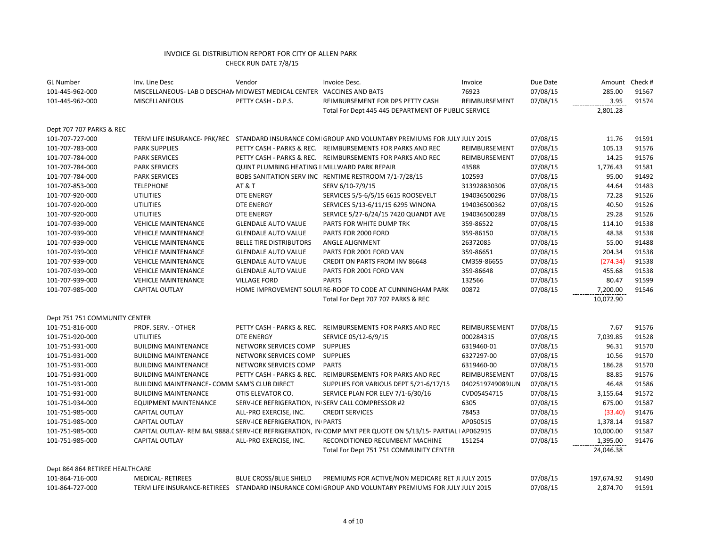| <b>GL Number</b>                | Inv. Line Desc                                                       | Vendor                                               | Invoice Desc.                                                                                               | Invoice          | Due Date | Amount Check # |       |
|---------------------------------|----------------------------------------------------------------------|------------------------------------------------------|-------------------------------------------------------------------------------------------------------------|------------------|----------|----------------|-------|
| 101-445-962-000                 | MISCELLANEOUS-LAB D DESCHAN MIDWEST MEDICAL CENTER VACCINES AND BATS |                                                      |                                                                                                             | 76923            | 07/08/15 | 285.00         | 91567 |
| 101-445-962-000                 | <b>MISCELLANEOUS</b>                                                 | PETTY CASH - D.P.S.                                  | REIMBURSEMENT FOR DPS PETTY CASH                                                                            | REIMBURSEMENT    | 07/08/15 | 3.95           | 91574 |
|                                 |                                                                      |                                                      | Total For Dept 445 445 DEPARTMENT OF PUBLIC SERVICE                                                         |                  |          | 2,801.28       |       |
| Dept 707 707 PARKS & REC        |                                                                      |                                                      |                                                                                                             |                  |          |                |       |
| 101-707-727-000                 |                                                                      |                                                      | TERM LIFE INSURANCE- PRK/REC STANDARD INSURANCE COMI GROUP AND VOLUNTARY PREMIUMS FOR JULY JULY 2015        |                  | 07/08/15 | 11.76          | 91591 |
| 101-707-783-000                 | <b>PARK SUPPLIES</b>                                                 |                                                      | PETTY CASH - PARKS & REC. REIMBURSEMENTS FOR PARKS AND REC                                                  | REIMBURSEMENT    | 07/08/15 | 105.13         | 91576 |
| 101-707-784-000                 | <b>PARK SERVICES</b>                                                 |                                                      | PETTY CASH - PARKS & REC. REIMBURSEMENTS FOR PARKS AND REC                                                  | REIMBURSEMENT    | 07/08/15 | 14.25          | 91576 |
| 101-707-784-000                 | <b>PARK SERVICES</b>                                                 | <b>QUINT PLUMBING HEATING I MILLWARD PARK REPAIR</b> |                                                                                                             | 43588            | 07/08/15 | 1,776.43       | 91581 |
| 101-707-784-000                 | <b>PARK SERVICES</b>                                                 |                                                      | BOBS SANITATION SERV INC RENTIME RESTROOM 7/1-7/28/15                                                       | 102593           | 07/08/15 | 95.00          | 91492 |
| 101-707-853-000                 | <b>TELEPHONE</b>                                                     | <b>AT &amp; T</b>                                    | SERV 6/10-7/9/15                                                                                            | 313928830306     | 07/08/15 | 44.64          | 91483 |
| 101-707-920-000                 | <b>UTILITIES</b>                                                     | DTE ENERGY                                           | SERVICES 5/5-6/5/15 6615 ROOSEVELT                                                                          | 194036500296     | 07/08/15 | 72.28          | 91526 |
| 101-707-920-000                 | <b>UTILITIES</b>                                                     | DTE ENERGY                                           | SERVICES 5/13-6/11/15 6295 WINONA                                                                           | 194036500362     | 07/08/15 | 40.50          | 91526 |
| 101-707-920-000                 | <b>UTILITIES</b>                                                     | <b>DTE ENERGY</b>                                    | SERVICE 5/27-6/24/15 7420 QUANDT AVE                                                                        | 194036500289     | 07/08/15 | 29.28          | 91526 |
| 101-707-939-000                 | <b>VEHICLE MAINTENANCE</b>                                           | <b>GLENDALE AUTO VALUE</b>                           | PARTS FOR WHITE DUMP TRK                                                                                    | 359-86522        | 07/08/15 | 114.10         | 91538 |
| 101-707-939-000                 | <b>VEHICLE MAINTENANCE</b>                                           | <b>GLENDALE AUTO VALUE</b>                           | PARTS FOR 2000 FORD                                                                                         | 359-86150        | 07/08/15 | 48.38          | 91538 |
| 101-707-939-000                 | <b>VEHICLE MAINTENANCE</b>                                           | <b>BELLE TIRE DISTRIBUTORS</b>                       | ANGLE ALIGNMENT                                                                                             | 26372085         | 07/08/15 | 55.00          | 91488 |
| 101-707-939-000                 | <b>VEHICLE MAINTENANCE</b>                                           | <b>GLENDALE AUTO VALUE</b>                           | PARTS FOR 2001 FORD VAN                                                                                     | 359-86651        | 07/08/15 | 204.34         | 91538 |
| 101-707-939-000                 | <b>VEHICLE MAINTENANCE</b>                                           | <b>GLENDALE AUTO VALUE</b>                           | <b>CREDIT ON PARTS FROM INV 86648</b>                                                                       | CM359-86655      | 07/08/15 | (274.34)       | 91538 |
| 101-707-939-000                 | <b>VEHICLE MAINTENANCE</b>                                           | <b>GLENDALE AUTO VALUE</b>                           | PARTS FOR 2001 FORD VAN                                                                                     | 359-86648        | 07/08/15 | 455.68         | 91538 |
| 101-707-939-000                 | <b>VEHICLE MAINTENANCE</b>                                           | <b>VILLAGE FORD</b>                                  | <b>PARTS</b>                                                                                                | 132566           | 07/08/15 | 80.47          | 91599 |
| 101-707-985-000                 | <b>CAPITAL OUTLAY</b>                                                |                                                      | HOME IMPROVEMENT SOLUT RE-ROOF TO CODE AT CUNNINGHAM PARK                                                   | 00872            | 07/08/15 | 7,200.00       | 91546 |
|                                 |                                                                      |                                                      | Total For Dept 707 707 PARKS & REC                                                                          |                  |          | 10,072.90      |       |
|                                 |                                                                      |                                                      |                                                                                                             |                  |          |                |       |
| Dept 751 751 COMMUNITY CENTER   |                                                                      |                                                      |                                                                                                             |                  |          |                |       |
| 101-751-816-000                 | PROF. SERV. - OTHER                                                  |                                                      | PETTY CASH - PARKS & REC. REIMBURSEMENTS FOR PARKS AND REC                                                  | REIMBURSEMENT    | 07/08/15 | 7.67           | 91576 |
| 101-751-920-000                 | <b>UTILITIES</b>                                                     | <b>DTE ENERGY</b>                                    | SERVICE 05/12-6/9/15                                                                                        | 000284315        | 07/08/15 | 7,039.85       | 91528 |
| 101-751-931-000                 | <b>BUILDING MAINTENANCE</b>                                          | NETWORK SERVICES COMP SUPPLIES                       |                                                                                                             | 6319460-01       | 07/08/15 | 96.31          | 91570 |
| 101-751-931-000                 | <b>BUILDING MAINTENANCE</b>                                          | NETWORK SERVICES COMP                                | <b>SUPPLIES</b>                                                                                             | 6327297-00       | 07/08/15 | 10.56          | 91570 |
| 101-751-931-000                 | <b>BUILDING MAINTENANCE</b>                                          | NETWORK SERVICES COMP                                | <b>PARTS</b>                                                                                                | 6319460-00       | 07/08/15 | 186.28         | 91570 |
| 101-751-931-000                 | <b>BUILDING MAINTENANCE</b>                                          | PETTY CASH - PARKS & REC.                            | REIMBURSEMENTS FOR PARKS AND REC                                                                            | REIMBURSEMENT    | 07/08/15 | 88.85          | 91576 |
| 101-751-931-000                 | BUILDING MAINTENANCE- COMM SAM'S CLUB DIRECT                         |                                                      | SUPPLIES FOR VARIOUS DEPT 5/21-6/17/15                                                                      | 0402519749089JUN | 07/08/15 | 46.48          | 91586 |
| 101-751-931-000                 | <b>BUILDING MAINTENANCE</b>                                          | OTIS ELEVATOR CO.                                    | SERVICE PLAN FOR ELEV 7/1-6/30/16                                                                           | CVD05454715      | 07/08/15 | 3,155.64       | 91572 |
| 101-751-934-000                 | <b>EQUIPMENT MAINTENANCE</b>                                         | SERV-ICE REFRIGERATION, IN SERV CALL COMPRESSOR #2   |                                                                                                             | 6305             | 07/08/15 | 675.00         | 91587 |
| 101-751-985-000                 | <b>CAPITAL OUTLAY</b>                                                | ALL-PRO EXERCISE, INC.                               | <b>CREDIT SERVICES</b>                                                                                      | 78453            | 07/08/15 | (33.40)        | 91476 |
| 101-751-985-000                 | CAPITAL OUTLAY                                                       | SERV-ICE REFRIGERATION, IN PARTS                     |                                                                                                             | AP050515         | 07/08/15 | 1,378.14       | 91587 |
| 101-751-985-000                 |                                                                      |                                                      | CAPITAL OUTLAY- REM BAL 9888.0 SERV-ICE REFRIGERATION, IN COMP MNT PER QUOTE ON 5/13/15- PARTIAL I AP062915 |                  | 07/08/15 | 10,000.00      | 91587 |
| 101-751-985-000                 | CAPITAL OUTLAY                                                       | ALL-PRO EXERCISE, INC.                               | RECONDITIONED RECUMBENT MACHINE                                                                             | 151254           | 07/08/15 | 1,395.00       | 91476 |
|                                 |                                                                      |                                                      | Total For Dept 751 751 COMMUNITY CENTER                                                                     |                  |          | 24,046.38      |       |
| Dept 864 864 RETIREE HEALTHCARE |                                                                      |                                                      |                                                                                                             |                  |          |                |       |
| 101-864-716-000                 | <b>MEDICAL-RETIREES</b>                                              | BLUE CROSS/BLUE SHIELD                               | PREMIUMS FOR ACTIVE/NON MEDICARE RET JUJULY 2015                                                            |                  | 07/08/15 | 197,674.92     | 91490 |
| 101-864-727-000                 |                                                                      |                                                      | TERM LIFE INSURANCE-RETIREES STANDARD INSURANCE COMI GROUP AND VOLUNTARY PREMIUMS FOR JULY JULY 2015        |                  | 07/08/15 | 2,874.70       | 91591 |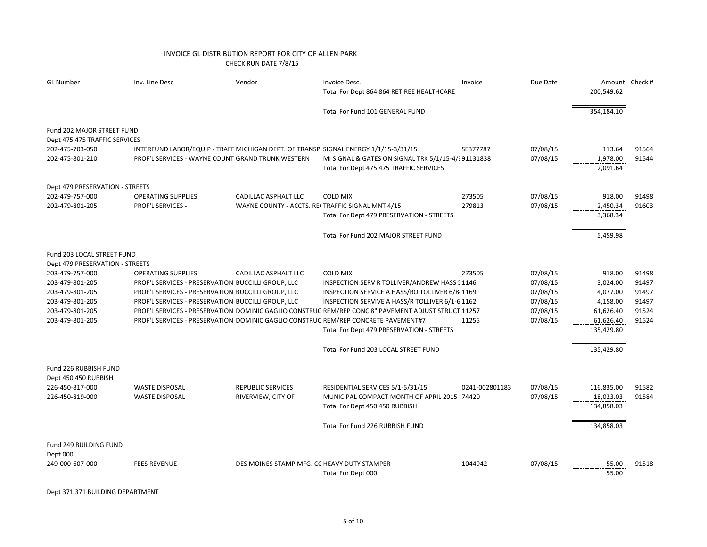| <b>GL Number</b>                                              | Inv. Line Desc                                                                       | Vendor                                           | Invoice Desc.                                                                                       | Invoice        | Due Date | Amount Check # |       |
|---------------------------------------------------------------|--------------------------------------------------------------------------------------|--------------------------------------------------|-----------------------------------------------------------------------------------------------------|----------------|----------|----------------|-------|
|                                                               |                                                                                      |                                                  | Total For Dept 864 864 RETIREE HEALTHCARE                                                           |                |          | 200,549.62     |       |
|                                                               |                                                                                      |                                                  | Total For Fund 101 GENERAL FUND                                                                     |                |          | 354,184.10     |       |
| Fund 202 MAJOR STREET FUND<br>Dept 475 475 TRAFFIC SERVICES   |                                                                                      |                                                  |                                                                                                     |                |          |                |       |
| 202-475-703-050                                               | INTERFUND LABOR/EQUIP - TRAFF MICHIGAN DEPT. OF TRANSPI SIGNAL ENERGY 1/1/15-3/31/15 |                                                  |                                                                                                     | SE377787       | 07/08/15 | 113.64         | 91564 |
| 202-475-801-210                                               | PROF'L SERVICES - WAYNE COUNT GRAND TRUNK WESTERN                                    |                                                  | MI SIGNAL & GATES ON SIGNAL TRK 5/1/15-4/: 91131838                                                 |                | 07/08/15 | 1,978.00       | 91544 |
|                                                               |                                                                                      |                                                  | Total For Dept 475 475 TRAFFIC SERVICES                                                             |                |          | 2,091.64       |       |
| Dept 479 PRESERVATION - STREETS                               |                                                                                      |                                                  |                                                                                                     |                |          |                |       |
| 202-479-757-000                                               | <b>OPERATING SUPPLIES</b>                                                            | CADILLAC ASPHALT LLC                             | <b>COLD MIX</b>                                                                                     | 273505         | 07/08/15 | 918.00         | 91498 |
| 202-479-801-205                                               | PROF'L SERVICES -                                                                    | WAYNE COUNTY - ACCTS. RECTRAFFIC SIGNAL MNT 4/15 |                                                                                                     | 279813         | 07/08/15 | 2,450.34       | 91603 |
|                                                               |                                                                                      |                                                  | Total For Dept 479 PRESERVATION - STREETS                                                           |                |          | 3,368.34       |       |
|                                                               |                                                                                      |                                                  | Total For Fund 202 MAJOR STREET FUND                                                                |                |          | 5,459.98       |       |
| Fund 203 LOCAL STREET FUND<br>Dept 479 PRESERVATION - STREETS |                                                                                      |                                                  |                                                                                                     |                |          |                |       |
| 203-479-757-000                                               | <b>OPERATING SUPPLIES</b>                                                            | CADILLAC ASPHALT LLC                             | <b>COLD MIX</b>                                                                                     | 273505         | 07/08/15 | 918.00         | 91498 |
| 203-479-801-205                                               | PROF'L SERVICES - PRESERVATION BUCCILLI GROUP, LLC                                   |                                                  | <b>INSPECTION SERV R TOLLIVER/ANDREW HASS 5 1146</b>                                                |                | 07/08/15 | 3,024.00       | 91497 |
| 203-479-801-205                                               | PROF'L SERVICES - PRESERVATION BUCCILLI GROUP, LLC                                   |                                                  | INSPECTION SERVICE A HASS/RO TOLLIVER 6/8-1169                                                      |                | 07/08/15 | 4,077.00       | 91497 |
| 203-479-801-205                                               | PROF'L SERVICES - PRESERVATION BUCCILLI GROUP, LLC                                   |                                                  | INSPECTION SERVIVE A HASS/R TOLLIVER 6/1-6 1162                                                     |                | 07/08/15 | 4,158.00       | 91497 |
| 203-479-801-205                                               |                                                                                      |                                                  | PROF'L SERVICES - PRESERVATION DOMINIC GAGLIO CONSTRUC REM/REP CONC 8" PAVEMENT ADJUST STRUCT 11257 |                | 07/08/15 | 61,626.40      | 91524 |
| 203-479-801-205                                               |                                                                                      |                                                  | PROF'L SERVICES - PRESERVATION DOMINIC GAGLIO CONSTRUC REM/REP CONCRETE PAVEMENT#7                  | 11255          | 07/08/15 | 61,626.40      | 91524 |
|                                                               |                                                                                      |                                                  | Total For Dept 479 PRESERVATION - STREETS                                                           |                |          | 135,429.80     |       |
|                                                               |                                                                                      |                                                  | Total For Fund 203 LOCAL STREET FUND                                                                |                |          | 135,429.80     |       |
| Fund 226 RUBBISH FUND<br>Dept 450 450 RUBBISH                 |                                                                                      |                                                  |                                                                                                     |                |          |                |       |
| 226-450-817-000                                               | <b>WASTE DISPOSAL</b>                                                                | <b>REPUBLIC SERVICES</b>                         | RESIDENTIAL SERVICES 5/1-5/31/15                                                                    | 0241-002801183 | 07/08/15 | 116,835.00     | 91582 |
| 226-450-819-000                                               | <b>WASTE DISPOSAL</b>                                                                | RIVERVIEW, CITY OF                               | MUNICIPAL COMPACT MONTH OF APRIL 2015 74420                                                         |                | 07/08/15 | 18,023.03      | 91584 |
|                                                               |                                                                                      |                                                  | Total For Dept 450 450 RUBBISH                                                                      |                |          | 134,858.03     |       |
|                                                               |                                                                                      |                                                  | Total For Fund 226 RUBBISH FUND                                                                     |                |          | 134,858.03     |       |
| Fund 249 BUILDING FUND                                        |                                                                                      |                                                  |                                                                                                     |                |          |                |       |
| Dept 000                                                      |                                                                                      |                                                  |                                                                                                     |                |          |                |       |
| 249-000-607-000                                               | <b>FEES REVENUE</b>                                                                  | DES MOINES STAMP MFG. CC HEAVY DUTY STAMPER      |                                                                                                     | 1044942        | 07/08/15 | 55.00          | 91518 |
|                                                               |                                                                                      |                                                  | Total For Dept 000                                                                                  |                |          | 55.00          |       |
|                                                               |                                                                                      |                                                  |                                                                                                     |                |          |                |       |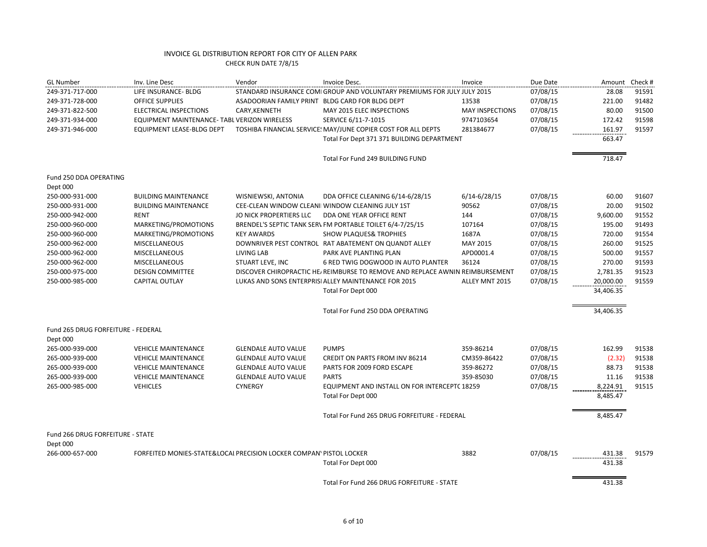| <b>GL Number</b>                   | Inv. Line Desc                                                      | Vendor                                          | Invoice Desc.                                                                             | Invoice                | Due Date | Amount Check # |       |
|------------------------------------|---------------------------------------------------------------------|-------------------------------------------------|-------------------------------------------------------------------------------------------|------------------------|----------|----------------|-------|
| 249-371-717-000                    | LIFE INSURANCE- BLDG                                                |                                                 | STANDARD INSURANCE COMI GROUP AND VOLUNTARY PREMIUMS FOR JULY JULY 2015                   |                        | 07/08/15 | 28.08          | 91591 |
| 249-371-728-000                    | <b>OFFICE SUPPLIES</b>                                              | ASADOORIAN FAMILY PRINT BLDG CARD FOR BLDG DEPT |                                                                                           | 13538                  | 07/08/15 | 221.00         | 91482 |
| 249-371-822-500                    | ELECTRICAL INSPECTIONS                                              | CARY, KENNETH                                   | MAY 2015 ELEC INSPECTIONS                                                                 | <b>MAY INSPECTIONS</b> | 07/08/15 | 80.00          | 91500 |
| 249-371-934-000                    | EQUIPMENT MAINTENANCE- TABL VERIZON WIRELESS                        |                                                 | SERVICE 6/11-7-1015                                                                       | 9747103654             | 07/08/15 | 172.42         | 91598 |
| 249-371-946-000                    | EQUIPMENT LEASE-BLDG DEPT                                           |                                                 | TOSHIBA FINANCIAL SERVICE: MAY/JUNE COPIER COST FOR ALL DEPTS                             | 281384677              | 07/08/15 | 161.97         | 91597 |
|                                    |                                                                     |                                                 | Total For Dept 371 371 BUILDING DEPARTMENT                                                |                        |          | 663.47         |       |
|                                    |                                                                     |                                                 | Total For Fund 249 BUILDING FUND                                                          |                        |          | 718.47         |       |
| Fund 250 DDA OPERATING             |                                                                     |                                                 |                                                                                           |                        |          |                |       |
| Dept 000                           |                                                                     |                                                 |                                                                                           |                        |          |                |       |
| 250-000-931-000                    | <b>BUILDING MAINTENANCE</b>                                         | WISNIEWSKI, ANTONIA                             | DDA OFFICE CLEANING 6/14-6/28/15                                                          | $6/14 - 6/28/15$       | 07/08/15 | 60.00          | 91607 |
| 250-000-931-000                    | <b>BUILDING MAINTENANCE</b>                                         |                                                 | CEE-CLEAN WINDOW CLEANI WINDOW CLEANING JULY 1ST                                          | 90562                  | 07/08/15 | 20.00          | 91502 |
| 250-000-942-000                    | <b>RENT</b>                                                         | <b>JO NICK PROPERTIERS LLC</b>                  | DDA ONE YEAR OFFICE RENT                                                                  | 144                    | 07/08/15 | 9,600.00       | 91552 |
| 250-000-960-000                    | MARKETING/PROMOTIONS                                                |                                                 | BRENDEL'S SEPTIC TANK SER\ FM PORTABLE TOILET 6/4-7/25/15                                 | 107164                 | 07/08/15 | 195.00         | 91493 |
| 250-000-960-000                    | MARKETING/PROMOTIONS                                                | <b>KEY AWARDS</b>                               | <b>SHOW PLAQUES&amp; TROPHIES</b>                                                         | 1687A                  | 07/08/15 | 720.00         | 91554 |
| 250-000-962-000                    | <b>MISCELLANEOUS</b>                                                |                                                 | DOWNRIVER PEST CONTROL RAT ABATEMENT ON QUANDT ALLEY                                      | MAY 2015               | 07/08/15 | 260.00         | 91525 |
| 250-000-962-000                    | <b>MISCELLANEOUS</b>                                                | <b>LIVING LAB</b>                               | PARK AVE PLANTING PLAN                                                                    | APD0001.4              | 07/08/15 | 500.00         | 91557 |
| 250-000-962-000                    | <b>MISCELLANEOUS</b>                                                | STUART LEVE, INC                                | 6 RED TWIG DOGWOOD IN AUTO PLANTER                                                        | 36124                  | 07/08/15 | 270.00         | 91593 |
| 250-000-975-000                    | <b>DESIGN COMMITTEE</b>                                             |                                                 | DISCOVER CHIROPRACTIC HE <sub>/</sub> REIMBURSE TO REMOVE AND REPLACE AWNIN REIMBURSEMENT |                        | 07/08/15 | 2,781.35       | 91523 |
| 250-000-985-000                    | <b>CAPITAL OUTLAY</b>                                               |                                                 | LUKAS AND SONS ENTERPRISI ALLEY MAINTENANCE FOR 2015                                      | ALLEY MNT 2015         | 07/08/15 | 20,000.00      | 91559 |
|                                    |                                                                     |                                                 | Total For Dept 000                                                                        |                        |          | 34,406.35      |       |
|                                    |                                                                     |                                                 | Total For Fund 250 DDA OPERATING                                                          |                        |          | 34,406.35      |       |
| Fund 265 DRUG FORFEITURE - FEDERAL |                                                                     |                                                 |                                                                                           |                        |          |                |       |
| Dept 000                           |                                                                     |                                                 |                                                                                           |                        |          |                |       |
| 265-000-939-000                    | <b>VEHICLE MAINTENANCE</b>                                          | <b>GLENDALE AUTO VALUE</b>                      | <b>PUMPS</b>                                                                              | 359-86214              | 07/08/15 | 162.99         | 91538 |
| 265-000-939-000                    | <b>VEHICLE MAINTENANCE</b>                                          | <b>GLENDALE AUTO VALUE</b>                      | CREDIT ON PARTS FROM INV 86214                                                            | CM359-86422            | 07/08/15 | (2.32)         | 91538 |
| 265-000-939-000                    | <b>VEHICLE MAINTENANCE</b>                                          | <b>GLENDALE AUTO VALUE</b>                      | PARTS FOR 2009 FORD ESCAPE                                                                | 359-86272              | 07/08/15 | 88.73          | 91538 |
| 265-000-939-000                    | <b>VEHICLE MAINTENANCE</b>                                          | <b>GLENDALE AUTO VALUE</b>                      | <b>PARTS</b>                                                                              | 359-85030              | 07/08/15 | 11.16          | 91538 |
| 265-000-985-000                    | <b>VEHICLES</b>                                                     | <b>CYNERGY</b>                                  | EQUIPMENT AND INSTALL ON FOR INTERCEPT(18259                                              |                        | 07/08/15 | 8,224.91       | 91515 |
|                                    |                                                                     |                                                 | Total For Dept 000                                                                        |                        |          | 8,485.47       |       |
|                                    |                                                                     |                                                 | Total For Fund 265 DRUG FORFEITURE - FEDERAL                                              |                        |          | 8,485.47       |       |
| Fund 266 DRUG FORFEITURE - STATE   |                                                                     |                                                 |                                                                                           |                        |          |                |       |
| Dept 000                           |                                                                     |                                                 |                                                                                           |                        |          |                |       |
| 266-000-657-000                    | FORFEITED MONIES-STATE&LOCAL PRECISION LOCKER COMPAN' PISTOL LOCKER |                                                 |                                                                                           | 3882                   | 07/08/15 | 431.38         | 91579 |
|                                    |                                                                     |                                                 | Total For Dept 000                                                                        |                        |          | 431.38         |       |
|                                    |                                                                     |                                                 | Total For Fund 266 DRUG FORFEITURE - STATE                                                |                        |          | 431.38         |       |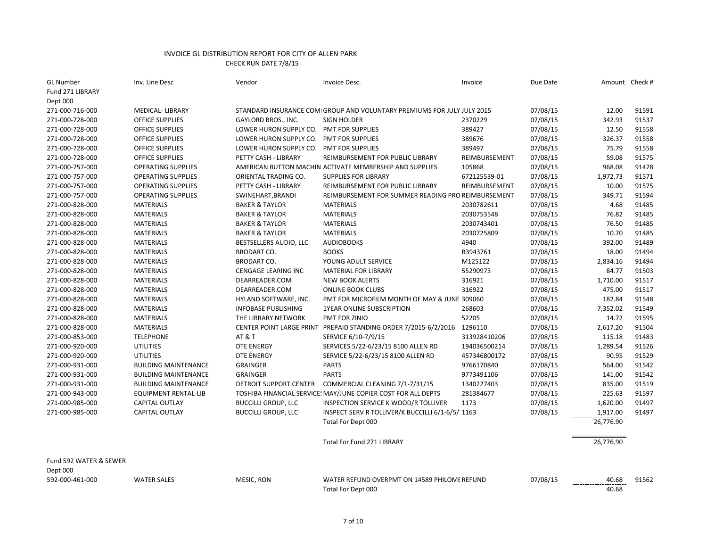| <b>GL Number</b>       | Inv. Line Desc              | Vendor                                  | Invoice Desc.                                                           | Invoice       | Due Date | Amount Check # |       |
|------------------------|-----------------------------|-----------------------------------------|-------------------------------------------------------------------------|---------------|----------|----------------|-------|
| Fund 271 LIBRARY       |                             |                                         |                                                                         |               |          |                |       |
| Dept 000               |                             |                                         |                                                                         |               |          |                |       |
| 271-000-716-000        | <b>MEDICAL- LIBRARY</b>     |                                         | STANDARD INSURANCE COMI GROUP AND VOLUNTARY PREMIUMS FOR JULY JULY 2015 |               | 07/08/15 | 12.00          | 91591 |
| 271-000-728-000        | <b>OFFICE SUPPLIES</b>      | GAYLORD BROS., INC.                     | <b>SIGN HOLDER</b>                                                      | 2370229       | 07/08/15 | 342.93         | 91537 |
| 271-000-728-000        | <b>OFFICE SUPPLIES</b>      | LOWER HURON SUPPLY CO. PMT FOR SUPPLIES |                                                                         | 389427        | 07/08/15 | 12.50          | 91558 |
| 271-000-728-000        | <b>OFFICE SUPPLIES</b>      | LOWER HURON SUPPLY CO. PMT FOR SUPPLIES |                                                                         | 389676        | 07/08/15 | 326.37         | 91558 |
| 271-000-728-000        | <b>OFFICE SUPPLIES</b>      | LOWER HURON SUPPLY CO. PMT FOR SUPPLIES |                                                                         | 389497        | 07/08/15 | 75.79          | 91558 |
| 271-000-728-000        | <b>OFFICE SUPPLIES</b>      | PETTY CASH - LIBRARY                    | REIMBURSEMENT FOR PUBLIC LIBRARY                                        | REIMBURSEMENT | 07/08/15 | 59.08          | 91575 |
| 271-000-757-000        | <b>OPERATING SUPPLIES</b>   |                                         | AMERICAN BUTTON MACHIN ACTIVATE MEMBERSHIP AND SUPPLIES                 | 105868        | 07/08/15 | 968.08         | 91478 |
| 271-000-757-000        | <b>OPERATING SUPPLIES</b>   | ORIENTAL TRADING CO.                    | <b>SUPPLIES FOR LIBRARY</b>                                             | 672125539-01  | 07/08/15 | 1,972.73       | 91571 |
| 271-000-757-000        | <b>OPERATING SUPPLIES</b>   | PETTY CASH - LIBRARY                    | REIMBURSEMENT FOR PUBLIC LIBRARY                                        | REIMBURSEMENT | 07/08/15 | 10.00          | 91575 |
| 271-000-757-000        | <b>OPERATING SUPPLIES</b>   | SWINEHART, BRANDI                       | REIMBURSEMENT FOR SUMMER READING PRO REIMBURSEMENT                      |               | 07/08/15 | 349.71         | 91594 |
| 271-000-828-000        | <b>MATERIALS</b>            | <b>BAKER &amp; TAYLOR</b>               | <b>MATERIALS</b>                                                        | 2030782611    | 07/08/15 | 4.68           | 91485 |
| 271-000-828-000        | <b>MATERIALS</b>            | <b>BAKER &amp; TAYLOR</b>               | <b>MATERIALS</b>                                                        | 2030753548    | 07/08/15 | 76.82          | 91485 |
| 271-000-828-000        | <b>MATERIALS</b>            | <b>BAKER &amp; TAYLOR</b>               | <b>MATERIALS</b>                                                        | 2030743401    | 07/08/15 | 76.50          | 91485 |
| 271-000-828-000        | <b>MATERIALS</b>            | <b>BAKER &amp; TAYLOR</b>               | <b>MATERIALS</b>                                                        | 2030725809    | 07/08/15 | 10.70          | 91485 |
| 271-000-828-000        | <b>MATERIALS</b>            | BESTSELLERS AUDIO, LLC                  | <b>AUDIOBOOKS</b>                                                       | 4940          | 07/08/15 | 392.00         | 91489 |
| 271-000-828-000        | <b>MATERIALS</b>            | <b>BRODART CO.</b>                      | <b>BOOKS</b>                                                            | B3943761      | 07/08/15 | 18.00          | 91494 |
| 271-000-828-000        | <b>MATERIALS</b>            | <b>BRODART CO.</b>                      | YOUNG ADULT SERVICE                                                     | M125122       | 07/08/15 | 2,834.16       | 91494 |
| 271-000-828-000        | <b>MATERIALS</b>            | <b>CENGAGE LEARING INC</b>              | <b>MATERIAL FOR LIBRARY</b>                                             | 55290973      | 07/08/15 | 84.77          | 91503 |
| 271-000-828-000        | <b>MATERIALS</b>            | DEARREADER.COM                          | <b>NEW BOOK ALERTS</b>                                                  | 316921        | 07/08/15 | 1,710.00       | 91517 |
| 271-000-828-000        | <b>MATERIALS</b>            | DEARREADER.COM                          | <b>ONLINE BOOK CLUBS</b>                                                | 316922        | 07/08/15 | 475.00         | 91517 |
| 271-000-828-000        | <b>MATERIALS</b>            | HYLAND SOFTWARE, INC.                   | PMT FOR MICROFILM MONTH OF MAY & JUNE 309060                            |               | 07/08/15 | 182.84         | 91548 |
| 271-000-828-000        | <b>MATERIALS</b>            | <b>INFOBASE PUBLISHING</b>              | <b>1YEAR ONLINE SUBSCRIPTION</b>                                        | 268603        | 07/08/15 | 7,352.02       | 91549 |
| 271-000-828-000        | <b>MATERIALS</b>            | THE LIBRARY NETWORK                     | PMT FOR ZINIO                                                           | 52205         | 07/08/15 | 14.72          | 91595 |
| 271-000-828-000        | <b>MATERIALS</b>            |                                         | CENTER POINT LARGE PRINT PREPAID STANDING ORDER 7/2015-6/2/2016 1296110 |               | 07/08/15 | 2,617.20       | 91504 |
| 271-000-853-000        | <b>TELEPHONE</b>            | <b>AT &amp; T</b>                       | SERVICE 6/10-7/9/15                                                     | 313928410206  | 07/08/15 | 115.18         | 91483 |
| 271-000-920-000        | <b>UTILITIES</b>            | <b>DTE ENERGY</b>                       | SERVICES 5/22-6/23/15 8100 ALLEN RD                                     | 194036500214  | 07/08/15 | 1,289.54       | 91526 |
| 271-000-920-000        | <b>UTILITIES</b>            | <b>DTE ENERGY</b>                       | SERVICE 5/22-6/23/15 8100 ALLEN RD                                      | 457346800172  | 07/08/15 | 90.95          | 91529 |
| 271-000-931-000        | <b>BUILDING MAINTENANCE</b> | <b>GRAINGER</b>                         | <b>PARTS</b>                                                            | 9766170840    | 07/08/15 | 564.00         | 91542 |
| 271-000-931-000        | <b>BUILDING MAINTENANCE</b> | <b>GRAINGER</b>                         | <b>PARTS</b>                                                            | 9773491106    | 07/08/15 | 141.00         | 91542 |
| 271-000-931-000        | <b>BUILDING MAINTENANCE</b> | DETROIT SUPPORT CENTER                  | COMMERCIAL CLEANING 7/1-7/31/15                                         | 1340227403    | 07/08/15 | 835.00         | 91519 |
| 271-000-943-000        | EQUIPMENT RENTAL-LIB        |                                         | TOSHIBA FINANCIAL SERVICE: MAY/JUNE COPIER COST FOR ALL DEPTS           | 281384677     | 07/08/15 | 225.63         | 91597 |
| 271-000-985-000        | <b>CAPITAL OUTLAY</b>       | <b>BUCCILLI GROUP, LLC</b>              | INSPECTION SERVICE K WOOD/R TOLLIVER                                    | 1173          | 07/08/15 | 1,620.00       | 91497 |
| 271-000-985-000        | <b>CAPITAL OUTLAY</b>       | <b>BUCCILLI GROUP, LLC</b>              | INSPECT SERV R TOLLIVER/K BUCCILLI 6/1-6/5/1163                         |               | 07/08/15 | 1,917.00       | 91497 |
|                        |                             |                                         | Total For Dept 000                                                      |               |          | 26,776.90      |       |
|                        |                             |                                         | Total For Fund 271 LIBRARY                                              |               |          | 26,776.90      |       |
| Fund 592 WATER & SEWER |                             |                                         |                                                                         |               |          |                |       |
| Dept 000               |                             |                                         |                                                                         |               |          |                |       |
| 592-000-461-000        | <b>WATER SALES</b>          | MESIC, RON                              | WATER REFUND OVERPMT ON 14589 PHILOME REFUND<br>Total For Dept 000      |               | 07/08/15 | 40.68<br>40.68 | 91562 |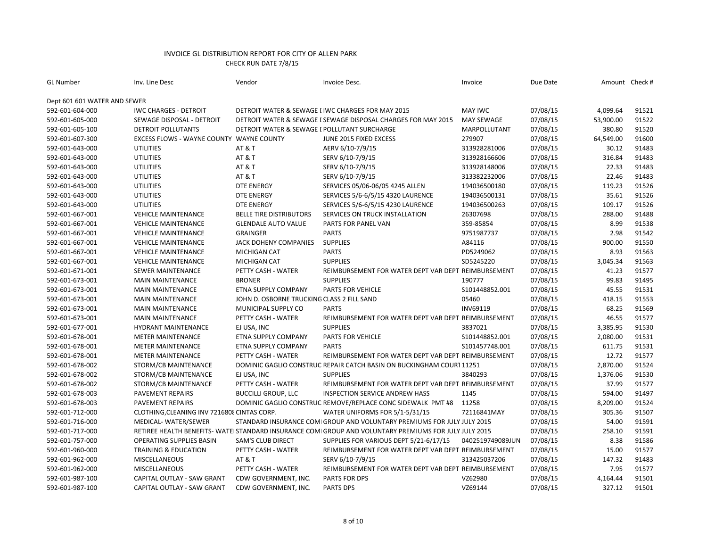| <b>GL Number</b>             | Inv. Line Desc                              | Vendor                                       | Invoice Desc.                                                                                         | Invoice           | Due Date | Amount Check # |       |
|------------------------------|---------------------------------------------|----------------------------------------------|-------------------------------------------------------------------------------------------------------|-------------------|----------|----------------|-------|
| Dept 601 601 WATER AND SEWER |                                             |                                              |                                                                                                       |                   |          |                |       |
| 592-601-604-000              | <b>IWC CHARGES - DETROIT</b>                |                                              | DETROIT WATER & SEWAGE I IWC CHARGES FOR MAY 2015                                                     | <b>MAY IWC</b>    | 07/08/15 | 4,099.64       | 91521 |
| 592-601-605-000              | SEWAGE DISPOSAL - DETROIT                   |                                              | DETROIT WATER & SEWAGE I SEWAGE DISPOSAL CHARGES FOR MAY 2015                                         | <b>MAY SEWAGE</b> | 07/08/15 | 53,900.00      | 91522 |
| 592-601-605-100              | <b>DETROIT POLLUTANTS</b>                   | DETROIT WATER & SEWAGE I POLLUTANT SURCHARGE |                                                                                                       | MARPOLLUTANT      | 07/08/15 | 380.80         | 91520 |
| 592-601-607-300              | EXCESS FLOWS - WAYNE COUNTY WAYNE COUNTY    |                                              | JUNE 2015 FIXED EXCESS                                                                                | 279907            | 07/08/15 | 64,549.00      | 91600 |
| 592-601-643-000              | <b>UTILITIES</b>                            | AT&T                                         | AERV 6/10-7/9/15                                                                                      | 313928281006      | 07/08/15 | 30.12          | 91483 |
| 592-601-643-000              | <b>UTILITIES</b>                            | <b>AT &amp; T</b>                            | SERV 6/10-7/9/15                                                                                      | 313928166606      | 07/08/15 | 316.84         | 91483 |
| 592-601-643-000              | <b>UTILITIES</b>                            | <b>AT &amp; T</b>                            | SERV 6/10-7/9/15                                                                                      | 313928148006      | 07/08/15 | 22.33          | 91483 |
| 592-601-643-000              | <b>UTILITIES</b>                            | <b>AT &amp; T</b>                            | SERV 6/10-7/9/15                                                                                      | 313382232006      | 07/08/15 | 22.46          | 91483 |
| 592-601-643-000              | <b>UTILITIES</b>                            | <b>DTE ENERGY</b>                            | SERVICES 05/06-06/05 4245 ALLEN                                                                       | 194036500180      | 07/08/15 | 119.23         | 91526 |
| 592-601-643-000              | <b>UTILITIES</b>                            | <b>DTE ENERGY</b>                            | SERVICES 5/6-6/5/15 4320 LAURENCE                                                                     | 194036500131      | 07/08/15 | 35.61          | 91526 |
| 592-601-643-000              | <b>UTILITIES</b>                            | <b>DTE ENERGY</b>                            | SERVICES 5/6-6/5/15 4230 LAURENCE                                                                     | 194036500263      | 07/08/15 | 109.17         | 91526 |
| 592-601-667-001              | <b>VEHICLE MAINTENANCE</b>                  | <b>BELLE TIRE DISTRIBUTORS</b>               | SERVICES ON TRUCK INSTALLATION                                                                        | 26307698          | 07/08/15 | 288.00         | 91488 |
| 592-601-667-001              | <b>VEHICLE MAINTENANCE</b>                  | <b>GLENDALE AUTO VALUE</b>                   | PARTS FOR PANEL VAN                                                                                   | 359-85854         | 07/08/15 | 8.99           | 91538 |
| 592-601-667-001              | <b>VEHICLE MAINTENANCE</b>                  | <b>GRAINGER</b>                              | <b>PARTS</b>                                                                                          | 9751987737        | 07/08/15 | 2.98           | 91542 |
|                              |                                             |                                              |                                                                                                       |                   |          |                | 91550 |
| 592-601-667-001              | <b>VEHICLE MAINTENANCE</b>                  | JACK DOHENY COMPANIES                        | <b>SUPPLIES</b>                                                                                       | A84116            | 07/08/15 | 900.00         |       |
| 592-601-667-001              | <b>VEHICLE MAINTENANCE</b>                  | <b>MICHIGAN CAT</b>                          | <b>PARTS</b>                                                                                          | PD5249062         | 07/08/15 | 8.93           | 91563 |
| 592-601-667-001              | <b>VEHICLE MAINTENANCE</b>                  | <b>MICHIGAN CAT</b>                          | <b>SUPPLIES</b>                                                                                       | SD5245220         | 07/08/15 | 3,045.34       | 91563 |
| 592-601-671-001              | <b>SEWER MAINTENANCE</b>                    | PETTY CASH - WATER                           | REIMBURSEMENT FOR WATER DEPT VAR DEPT REIMBURSEMENT                                                   |                   | 07/08/15 | 41.23          | 91577 |
| 592-601-673-001              | <b>MAIN MAINTENANCE</b>                     | <b>BRONER</b>                                | <b>SUPPLIES</b>                                                                                       | 190777            | 07/08/15 | 99.83          | 91495 |
| 592-601-673-001              | <b>MAIN MAINTENANCE</b>                     | ETNA SUPPLY COMPANY                          | <b>PARTS FOR VEHICLE</b>                                                                              | S101448852.001    | 07/08/15 | 45.55          | 91531 |
| 592-601-673-001              | <b>MAIN MAINTENANCE</b>                     | JOHN D. OSBORNE TRUCKING CLASS 2 FILL SAND   |                                                                                                       | 05460             | 07/08/15 | 418.15         | 91553 |
| 592-601-673-001              | <b>MAIN MAINTENANCE</b>                     | MUNICIPAL SUPPLY CO                          | <b>PARTS</b>                                                                                          | INV69119          | 07/08/15 | 68.25          | 91569 |
| 592-601-673-001              | <b>MAIN MAINTENANCE</b>                     | PETTY CASH - WATER                           | REIMBURSEMENT FOR WATER DEPT VAR DEPT REIMBURSEMENT                                                   |                   | 07/08/15 | 46.55          | 91577 |
| 592-601-677-001              | HYDRANT MAINTENANCE                         | EJ USA, INC                                  | <b>SUPPLIES</b>                                                                                       | 3837021           | 07/08/15 | 3,385.95       | 91530 |
| 592-601-678-001              | <b>METER MAINTENANCE</b>                    | ETNA SUPPLY COMPANY                          | PARTS FOR VEHICLE                                                                                     | S101448852.001    | 07/08/15 | 2,080.00       | 91531 |
| 592-601-678-001              | <b>METER MAINTENANCE</b>                    | ETNA SUPPLY COMPANY                          | <b>PARTS</b>                                                                                          | S101457748.001    | 07/08/15 | 611.75         | 91531 |
| 592-601-678-001              | <b>METER MAINTENANCE</b>                    | PETTY CASH - WATER                           | REIMBURSEMENT FOR WATER DEPT VAR DEPT REIMBURSEMENT                                                   |                   | 07/08/15 | 12.72          | 91577 |
| 592-601-678-002              | STORM/CB MAINTENANCE                        |                                              | DOMINIC GAGLIO CONSTRUC REPAIR CATCH BASIN ON BUCKINGHAM COURT 11251                                  |                   | 07/08/15 | 2,870.00       | 91524 |
| 592-601-678-002              | STORM/CB MAINTENANCE                        | EJ USA, INC                                  | <b>SUPPLIES</b>                                                                                       | 3840293           | 07/08/15 | 1,376.06       | 91530 |
| 592-601-678-002              | STORM/CB MAINTENANCE                        | PETTY CASH - WATER                           | REIMBURSEMENT FOR WATER DEPT VAR DEPT REIMBURSEMENT                                                   |                   | 07/08/15 | 37.99          | 91577 |
| 592-601-678-003              | PAVEMENT REPAIRS                            | <b>BUCCILLI GROUP, LLC</b>                   | <b>INSPECTION SERVICE ANDREW HASS</b>                                                                 | 1145              | 07/08/15 | 594.00         | 91497 |
| 592-601-678-003              | <b>PAVEMENT REPAIRS</b>                     |                                              | DOMINIC GAGLIO CONSTRUC REMOVE/REPLACE CONC SIDEWALK PMT #8                                           | 11258             | 07/08/15 | 8,209.00       | 91524 |
| 592-601-712-000              | CLOTHING, CLEANING INV 7216808 CINTAS CORP. |                                              | WATER UNIFORMS FOR 5/1-5/31/15                                                                        | 72116841MAY       | 07/08/15 | 305.36         | 91507 |
| 592-601-716-000              | MEDICAL-WATER/SEWER                         |                                              | STANDARD INSURANCE COMI GROUP AND VOLUNTARY PREMIUMS FOR JULY JULY 2015                               |                   | 07/08/15 | 54.00          | 91591 |
| 592-601-717-000              |                                             |                                              | RETIREE HEALTH BENEFITS-WATEI STANDARD INSURANCE COMI GROUP AND VOLUNTARY PREMIUMS FOR JULY JULY 2015 |                   | 07/08/15 | 258.10         | 91591 |
| 592-601-757-000              | <b>OPERATING SUPPLIES BASIN</b>             | <b>SAM'S CLUB DIRECT</b>                     | SUPPLIES FOR VARIOUS DEPT 5/21-6/17/15                                                                | 0402519749089JUN  | 07/08/15 | 8.38           | 91586 |
| 592-601-960-000              | <b>TRAINING &amp; EDUCATION</b>             | PETTY CASH - WATER                           | REIMBURSEMENT FOR WATER DEPT VAR DEPT REIMBURSEMENT                                                   |                   | 07/08/15 | 15.00          | 91577 |
| 592-601-962-000              | MISCELLANEOUS                               | AT&T                                         | SERV 6/10-7/9/15                                                                                      | 313425037206      | 07/08/15 | 147.32         | 91483 |
| 592-601-962-000              | <b>MISCELLANEOUS</b>                        | PETTY CASH - WATER                           | REIMBURSEMENT FOR WATER DEPT VAR DEPT REIMBURSEMENT                                                   |                   | 07/08/15 | 7.95           | 91577 |
| 592-601-987-100              | CAPITAL OUTLAY - SAW GRANT                  | CDW GOVERNMENT, INC.                         | PARTS FOR DPS                                                                                         | VZ62980           | 07/08/15 | 4,164.44       | 91501 |
| 592-601-987-100              | <b>CAPITAL OUTLAY - SAW GRANT</b>           | CDW GOVERNMENT, INC.                         | <b>PARTS DPS</b>                                                                                      | VZ69144           | 07/08/15 | 327.12         | 91501 |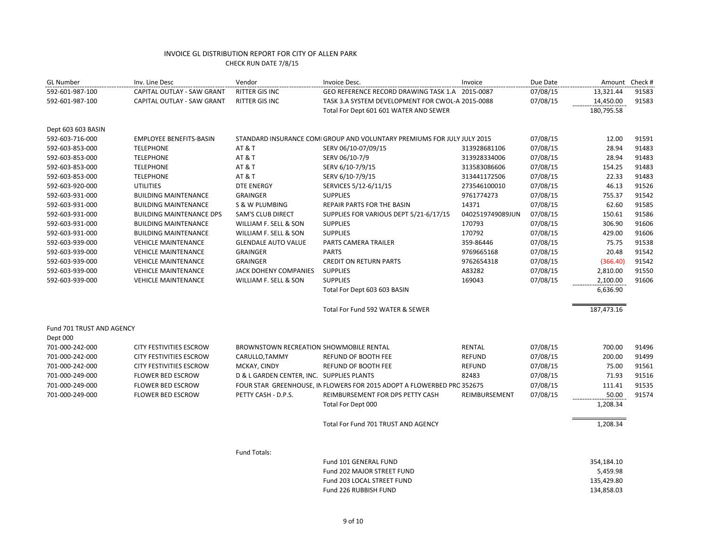| <b>GL Number</b>          | Inv. Line Desc                  | Vendor                                    | Invoice Desc.                                                           | Invoice          | Due Date |            | Amount Check # |
|---------------------------|---------------------------------|-------------------------------------------|-------------------------------------------------------------------------|------------------|----------|------------|----------------|
| 592-601-987-100           | CAPITAL OUTLAY - SAW GRANT      | <b>RITTER GIS INC</b>                     | GEO REFERENCE RECORD DRAWING TASK 1.A 2015-0087                         |                  | 07/08/15 | 13,321.44  | 91583          |
| 592-601-987-100           | CAPITAL OUTLAY - SAW GRANT      | <b>RITTER GIS INC</b>                     | TASK 3.A SYSTEM DEVELOPMENT FOR CWOL-A 2015-0088                        |                  | 07/08/15 | 14,450.00  | 91583          |
|                           |                                 |                                           | Total For Dept 601 601 WATER AND SEWER                                  |                  |          | 180,795.58 |                |
| Dept 603 603 BASIN        |                                 |                                           |                                                                         |                  |          |            |                |
| 592-603-716-000           | <b>EMPLOYEE BENEFITS-BASIN</b>  |                                           | STANDARD INSURANCE COMI GROUP AND VOLUNTARY PREMIUMS FOR JULY JULY 2015 |                  | 07/08/15 | 12.00      | 91591          |
| 592-603-853-000           | <b>TELEPHONE</b>                | <b>AT &amp; T</b>                         | SERV 06/10-07/09/15                                                     | 313928681106     | 07/08/15 | 28.94      | 91483          |
| 592-603-853-000           | <b>TELEPHONE</b>                | AT&T                                      | SERV 06/10-7/9                                                          | 313928334006     | 07/08/15 | 28.94      | 91483          |
| 592-603-853-000           | <b>TELEPHONE</b>                | AT&T                                      | SERV 6/10-7/9/15                                                        | 313583086606     | 07/08/15 | 154.25     | 91483          |
| 592-603-853-000           | <b>TELEPHONE</b>                | <b>AT &amp; T</b>                         | SERV 6/10-7/9/15                                                        | 313441172506     | 07/08/15 | 22.33      | 91483          |
| 592-603-920-000           | <b>UTILITIES</b>                | <b>DTE ENERGY</b>                         | SERVICES 5/12-6/11/15                                                   | 273546100010     | 07/08/15 | 46.13      | 91526          |
| 592-603-931-000           | <b>BUILDING MAINTENANCE</b>     | <b>GRAINGER</b>                           | <b>SUPPLIES</b>                                                         | 9761774273       | 07/08/15 | 755.37     | 91542          |
| 592-603-931-000           | <b>BUILDING MAINTENANCE</b>     | S & W PLUMBING                            | REPAIR PARTS FOR THE BASIN                                              | 14371            | 07/08/15 | 62.60      | 91585          |
| 592-603-931-000           | <b>BUILDING MAINTENANCE DPS</b> | <b>SAM'S CLUB DIRECT</b>                  | SUPPLIES FOR VARIOUS DEPT 5/21-6/17/15                                  | 0402519749089JUN | 07/08/15 | 150.61     | 91586          |
| 592-603-931-000           | <b>BUILDING MAINTENANCE</b>     | WILLIAM F. SELL & SON                     | <b>SUPPLIES</b>                                                         | 170793           | 07/08/15 | 306.90     | 91606          |
| 592-603-931-000           | <b>BUILDING MAINTENANCE</b>     | WILLIAM F. SELL & SON                     | <b>SUPPLIES</b>                                                         | 170792           | 07/08/15 | 429.00     | 91606          |
| 592-603-939-000           | <b>VEHICLE MAINTENANCE</b>      | <b>GLENDALE AUTO VALUE</b>                | PARTS CAMERA TRAILER                                                    | 359-86446        | 07/08/15 | 75.75      | 91538          |
| 592-603-939-000           | <b>VEHICLE MAINTENANCE</b>      | <b>GRAINGER</b>                           | <b>PARTS</b>                                                            | 9769665168       | 07/08/15 | 20.48      | 91542          |
| 592-603-939-000           | <b>VEHICLE MAINTENANCE</b>      | <b>GRAINGER</b>                           | <b>CREDIT ON RETURN PARTS</b>                                           | 9762654318       | 07/08/15 | (366.40)   | 91542          |
| 592-603-939-000           | <b>VEHICLE MAINTENANCE</b>      | JACK DOHENY COMPANIES                     | <b>SUPPLIES</b>                                                         | A83282           | 07/08/15 | 2,810.00   | 91550          |
| 592-603-939-000           | <b>VEHICLE MAINTENANCE</b>      | WILLIAM F. SELL & SON                     | <b>SUPPLIES</b>                                                         | 169043           | 07/08/15 | 2,100.00   | 91606          |
|                           |                                 |                                           | Total For Dept 603 603 BASIN                                            |                  |          | 6,636.90   |                |
|                           |                                 |                                           | Total For Fund 592 WATER & SEWER                                        |                  |          | 187,473.16 |                |
| Fund 701 TRUST AND AGENCY |                                 |                                           |                                                                         |                  |          |            |                |
| Dept 000                  |                                 |                                           |                                                                         |                  |          |            |                |
| 701-000-242-000           | <b>CITY FESTIVITIES ESCROW</b>  | BROWNSTOWN RECREATION SHOWMOBILE RENTAL   |                                                                         | <b>RENTAL</b>    | 07/08/15 | 700.00     | 91496          |
| 701-000-242-000           | <b>CITY FESTIVITIES ESCROW</b>  | CARULLO, TAMMY                            | REFUND OF BOOTH FEE                                                     | <b>REFUND</b>    | 07/08/15 | 200.00     | 91499          |
| 701-000-242-000           | <b>CITY FESTIVITIES ESCROW</b>  | MCKAY, CINDY                              | REFUND OF BOOTH FEE                                                     | <b>REFUND</b>    | 07/08/15 | 75.00      | 91561          |
| 701-000-249-000           | <b>FLOWER BED ESCROW</b>        | D & L GARDEN CENTER, INC. SUPPLIES PLANTS |                                                                         | 82483            | 07/08/15 | 71.93      | 91516          |
| 701-000-249-000           | <b>FLOWER BED ESCROW</b>        |                                           | FOUR STAR GREENHOUSE, IN FLOWERS FOR 2015 ADOPT A FLOWERBED PRC 352675  |                  | 07/08/15 | 111.41     | 91535          |
| 701-000-249-000           | <b>FLOWER BED ESCROW</b>        | PETTY CASH - D.P.S.                       | REIMBURSEMENT FOR DPS PETTY CASH                                        | REIMBURSEMENT    | 07/08/15 | 50.00      | 91574          |
|                           |                                 |                                           | Total For Dept 000                                                      |                  |          | 1,208.34   |                |
|                           |                                 |                                           | Total For Fund 701 TRUST AND AGENCY                                     |                  |          | 1,208.34   |                |
|                           |                                 |                                           |                                                                         |                  |          |            |                |
|                           |                                 | Fund Totals:                              |                                                                         |                  |          |            |                |
|                           |                                 |                                           | Fund 101 GENERAL FUND                                                   |                  |          | 354,184.10 |                |
|                           |                                 |                                           | Fund 202 MAJOR STREET FUND                                              |                  |          | 5,459.98   |                |
|                           |                                 |                                           | Fund 203 LOCAL STREET FUND                                              |                  |          | 135,429.80 |                |
|                           |                                 |                                           | Fund 226 RUBBISH FUND                                                   |                  |          | 134,858.03 |                |